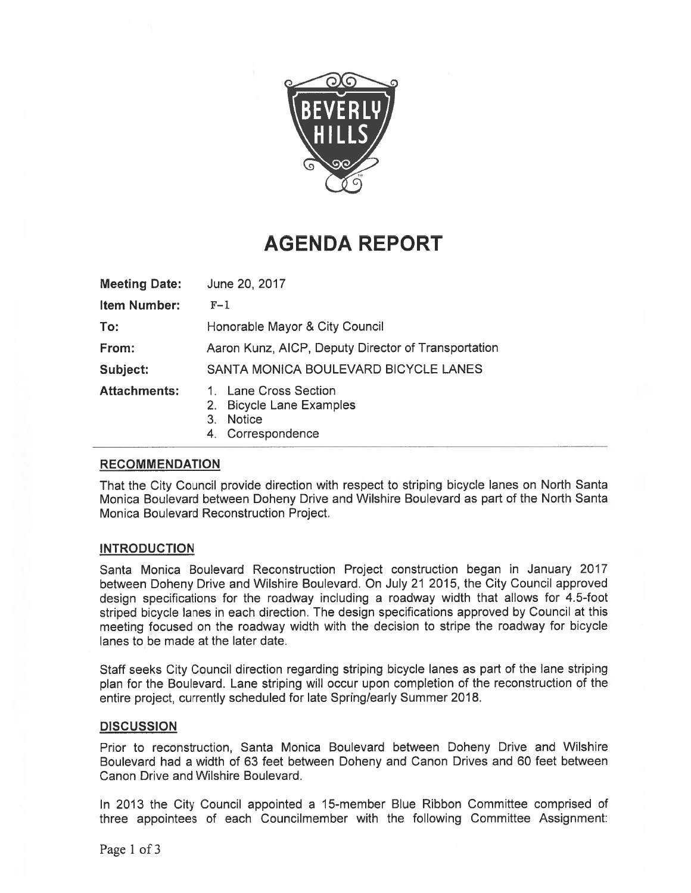

#### AGENDA REPORT

| <b>Meeting Date:</b> | June 20, 2017                                                                                             |
|----------------------|-----------------------------------------------------------------------------------------------------------|
| Item Number:         | $F-1$                                                                                                     |
| To:                  | Honorable Mayor & City Council                                                                            |
| From:                | Aaron Kunz, AICP, Deputy Director of Transportation                                                       |
| Subject:             | SANTA MONICA BOULEVARD BICYCLE LANES                                                                      |
| <b>Attachments:</b>  | 1. Lane Cross Section<br>2. Bicycle Lane Examples<br><b>Notice</b><br>3 <sub>1</sub><br>4. Correspondence |

#### RECOMMENDATION

That the City Council provide direction with respect to striping bicycle lanes on North Santa Monica Boulevard between Doheny Drive and Wilshire Boulevard as part of the North Santa Monica Boulevard Reconstruction Project.

#### INTRODUCTION

Santa Monica Boulevard Reconstruction Project construction began in January 2017 between Doheny Drive and Wilshire Boulevard. On July 21 2015, the City Council approved design specifications for the roadway including a roadway width that allows for 4.5-foot striped bicycle lanes in each direction. The design specifications approved by Council at this meeting focused on the roadway width with the decision to stripe the roadway for bicycle lanes to be made at the later date.

Staff seeks City Council direction regarding striping bicycle lanes as part of the lane striping plan for the Boulevard. Lane striping will occur upon completion of the reconstruction of the entire project, currently scheduled for late Spring/early Summer 2018.

#### **DISCUSSION**

Prior to reconstruction, Santa Monica Boulevard between Doheny Drive and Wilshire Boulevard had a width of 63 feet between Doheny and Canon Drives and 60 feet between Canon Drive and Wilshire Boulevard.

In 2013 the City Council appointed a 15-member Blue Ribbon Committee comprised of three appointees of each Councilmember with the following Committee Assignment: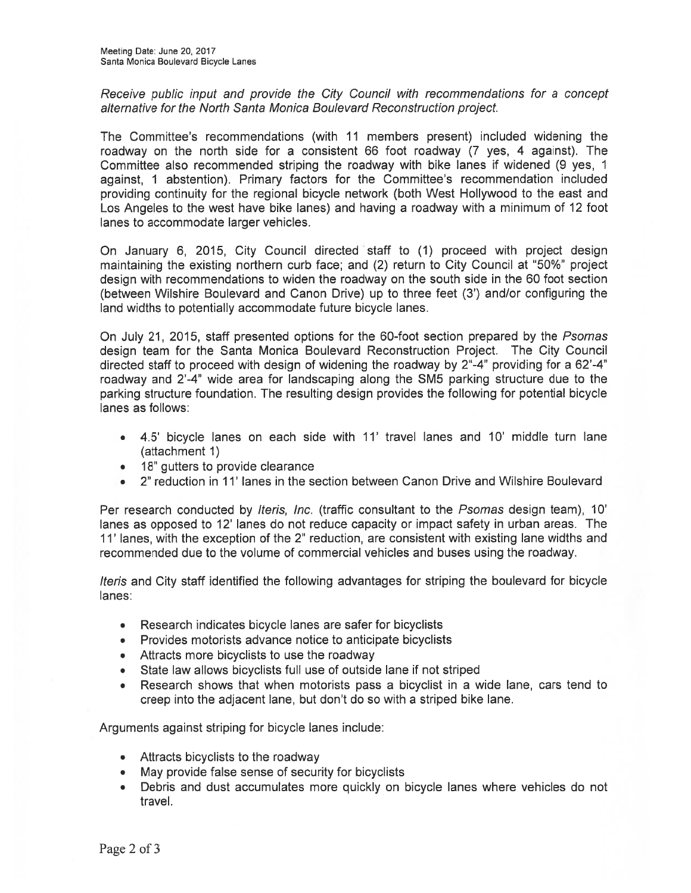Receive public input and provide the City Council with recommendations for a concept alternative for the North Santa Monica Boulevard Reconstruction project.

The Committee's recommendations (with 11 members present) included widening the roadway on the north side for a consistent 66 foot roadway (7 yes, 4 against). The Committee also recommended striping the roadway with bike lanes if widened (9 yes, <sup>1</sup> against, <sup>1</sup> abstention). Primary factors for the Committee's recommendation included providing continuity for the regional bicycle network (both West Hollywood to the east and Los Angeles to the west have bike lanes) and having a roadway with a minimum of 12 foot lanes to accommodate larger vehicles.

On January 6, 2015, City Council directed staff to (1) proceed with project design maintaining the existing northern curb face; and (2) return to City Council at "50%" project design with recommendations to widen the roadway on the south side in the 60 foot section (between Wilshire Boulevard and Canon Drive) up to three feet (3') and/or configuring the land widths to potentially accommodate future bicycle lanes.

On July 21, 2015, staff presented options for the 60-foot section prepared by the Psomas design team for the Santa Monica Boulevard Reconstruction Project. The City Council directed staff to proceed with design of widening the roadway by  $2^{\circ}$ -4" providing for a 62'-4" roadway and 2'-4" wide area for landscaping along the SM5 parking structure due to the parking structure foundation. The resulting design provides the following for potential bicycle lanes as follows:

- 4.5' bicycle lanes on each side with 11' travel lanes and 10' middle turn lane (attachment 1)
- 18" gutters to provide clearance
- 2" reduction in 11' lanes in the section between Canon Drive and Wilshire Boulevard

Per research conducted by *Iteris, Inc.* (traffic consultant to the *Psomas* design team), 10' lanes as opposed to 12' lanes do not reduce capacity or impact safety in urban areas. The 11' lanes, with the exception of the 2" reduction, are consistent with existing lane widths and recommended due to the volume of commercial vehicles and buses using the roadway.

lteris and City staff identified the following advantages for striping the boulevard for bicycle lanes:

- Research indicates bicycle lanes are safer for bicyclists
- Provides motorists advance notice to anticipate bicyclists
- Attracts more bicyclists to use the roadway
- State law allows bicyclists full use of outside lane if not striped
- Research shows that when motorists pass a bicyclist in a wide lane, cars tend to creep into the adjacent lane, but don't do so with a striped bike lane.

Arguments against striping for bicycle lanes include:

- Attracts bicyclists to the roadway
- May provide false sense of security for bicyclists
- Debris and dust accumulates more quickly on bicycle lanes where vehicles do not travel.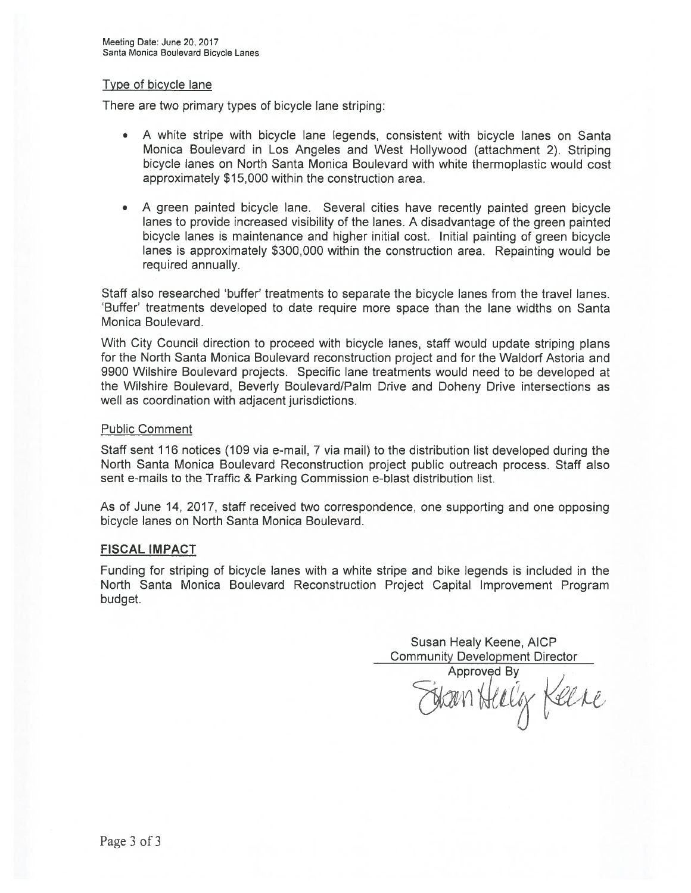#### Type of bicycle lane

There are two primary types of bicycle lane striping:

- A white stripe with bicycle lane legends, consistent with bicycle lanes on Santa Monica Boulevard in Los Angeles and West Hollywood (attachment 2). Striping bicycle lanes on North Santa Monica Boulevard with white thermoplastic would cost approximately \$15,000 within the construction area.
- A green painted bicycle lane. Several cities have recently painted green bicycle lanes to provide increased visibility of the lanes. A disadvantage of the green painted bicycle lanes is maintenance and higher initial cost. Initial painting of green bicycle lanes is approximately \$300,000 within the construction area. Repainting would be required annually.

Staff also researched 'buffer' treatments to separate the bicycle lanes from the travel lanes. 'Buffer' treatments developed to date require more space than the lane widths on Santa Monica Boulevard.

With City Council direction to proceed with bicycle lanes, staff would update striping plans for the North Santa Monica Boulevard reconstruction project and for the Waldorf Astoria and 9900 Wilshire Boulevard projects. Specific lane treatments would need to be developed at the Wilshire Boulevard, Beverly Boulevard/Palm Drive and Doheny Drive intersections as well as coordination with adjacent jurisdictions.

#### Public Comment

Staff sent 116 notices (109 via e-mail, 7 via mail) to the distribution list developed during the North Santa Monica Boulevard Reconstruction project public outreach process. Staff also sent e-mails to the Traffic & Parking Commission e-blast distribution list.

As of June 14, 2017, staff received two correspondence, one supporting and one opposing bicycle lanes on North Santa Monica Boulevard.

#### FISCAL IMPACT

Funding for striping of bicycle lanes with a white stripe and bike legends is included in the North Santa Monica Boulevard Reconstruction Project Capital Improvement Program budget.

> Susan Healy Keene, AICP Community Development Director

Approved By than Healiz Keene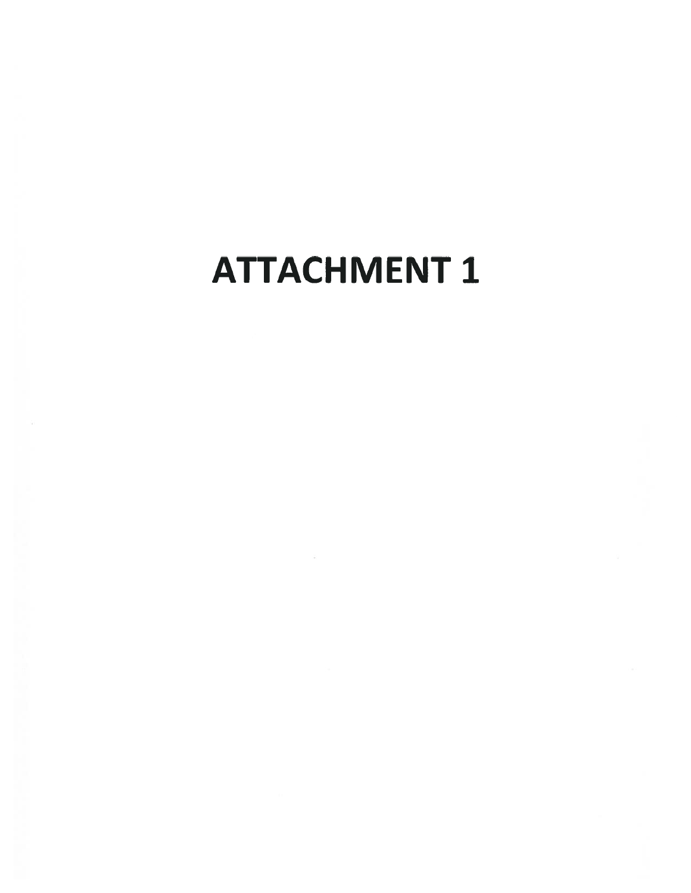### EN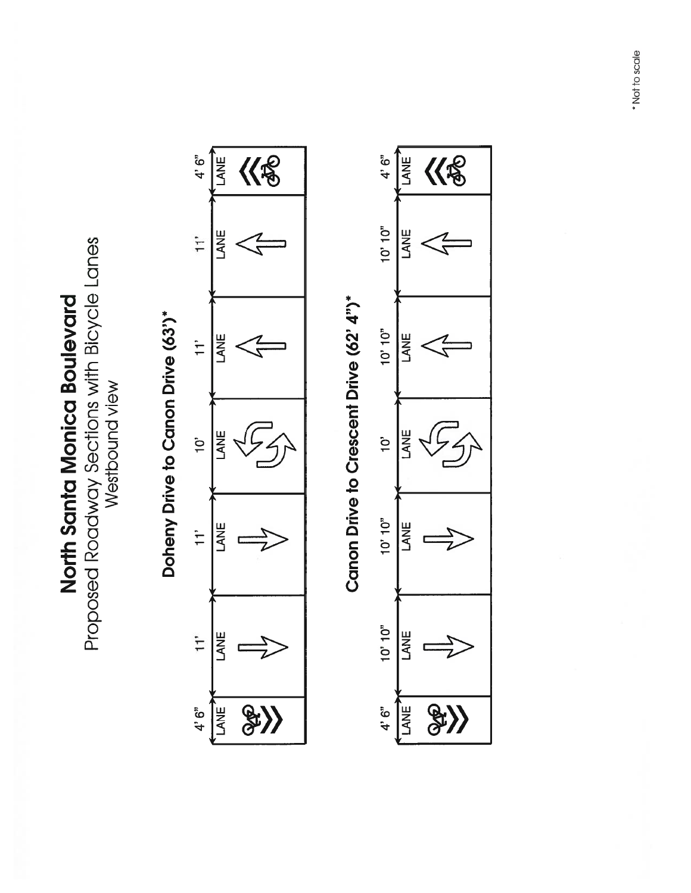North Santa Monica Boulevard North Santa Monica Boulevard

Proposed Roadway Sections with Bicycle Lanes Proposed Roadway Sections with Bicycle Lanes Westbound view Westbound view

## Doheny Drive to Canon Drive (63')\* Doheny Drive to Canon Drive (63)\*